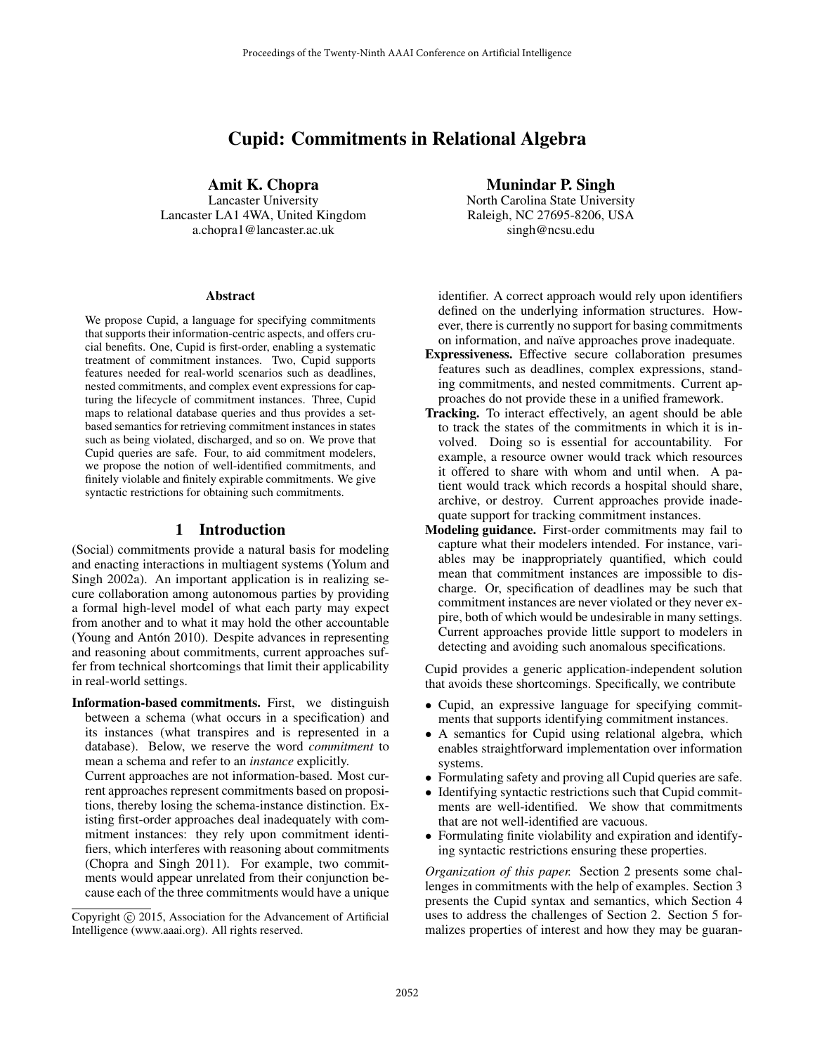# Cupid: Commitments in Relational Algebra

Amit K. Chopra

Lancaster University Lancaster LA1 4WA, United Kingdom a.chopra1@lancaster.ac.uk

#### Abstract

We propose Cupid, a language for specifying commitments that supports their information-centric aspects, and offers crucial benefits. One, Cupid is first-order, enabling a systematic treatment of commitment instances. Two, Cupid supports features needed for real-world scenarios such as deadlines, nested commitments, and complex event expressions for capturing the lifecycle of commitment instances. Three, Cupid maps to relational database queries and thus provides a setbased semantics for retrieving commitment instances in states such as being violated, discharged, and so on. We prove that Cupid queries are safe. Four, to aid commitment modelers, we propose the notion of well-identified commitments, and finitely violable and finitely expirable commitments. We give syntactic restrictions for obtaining such commitments.

## 1 Introduction

(Social) commitments provide a natural basis for modeling and enacting interactions in multiagent systems (Yolum and Singh 2002a). An important application is in realizing secure collaboration among autonomous parties by providing a formal high-level model of what each party may expect from another and to what it may hold the other accountable (Young and Antón 2010). Despite advances in representing and reasoning about commitments, current approaches suffer from technical shortcomings that limit their applicability in real-world settings.

Information-based commitments. First, we distinguish between a schema (what occurs in a specification) and its instances (what transpires and is represented in a database). Below, we reserve the word *commitment* to mean a schema and refer to an *instance* explicitly.

Current approaches are not information-based. Most current approaches represent commitments based on propositions, thereby losing the schema-instance distinction. Existing first-order approaches deal inadequately with commitment instances: they rely upon commitment identifiers, which interferes with reasoning about commitments (Chopra and Singh 2011). For example, two commitments would appear unrelated from their conjunction because each of the three commitments would have a unique Munindar P. Singh

North Carolina State University Raleigh, NC 27695-8206, USA singh@ncsu.edu

identifier. A correct approach would rely upon identifiers defined on the underlying information structures. However, there is currently no support for basing commitments on information, and naïve approaches prove inadequate.

- Expressiveness. Effective secure collaboration presumes features such as deadlines, complex expressions, standing commitments, and nested commitments. Current approaches do not provide these in a unified framework.
- Tracking. To interact effectively, an agent should be able to track the states of the commitments in which it is involved. Doing so is essential for accountability. For example, a resource owner would track which resources it offered to share with whom and until when. A patient would track which records a hospital should share, archive, or destroy. Current approaches provide inadequate support for tracking commitment instances.
- Modeling guidance. First-order commitments may fail to capture what their modelers intended. For instance, variables may be inappropriately quantified, which could mean that commitment instances are impossible to discharge. Or, specification of deadlines may be such that commitment instances are never violated or they never expire, both of which would be undesirable in many settings. Current approaches provide little support to modelers in detecting and avoiding such anomalous specifications.

Cupid provides a generic application-independent solution that avoids these shortcomings. Specifically, we contribute

- Cupid, an expressive language for specifying commitments that supports identifying commitment instances.
- A semantics for Cupid using relational algebra, which enables straightforward implementation over information systems.
- Formulating safety and proving all Cupid queries are safe.
- Identifying syntactic restrictions such that Cupid commitments are well-identified. We show that commitments that are not well-identified are vacuous.
- Formulating finite violability and expiration and identifying syntactic restrictions ensuring these properties.

*Organization of this paper.* Section 2 presents some challenges in commitments with the help of examples. Section 3 presents the Cupid syntax and semantics, which Section 4 uses to address the challenges of Section 2. Section 5 formalizes properties of interest and how they may be guaran-

Copyright (c) 2015, Association for the Advancement of Artificial Intelligence (www.aaai.org). All rights reserved.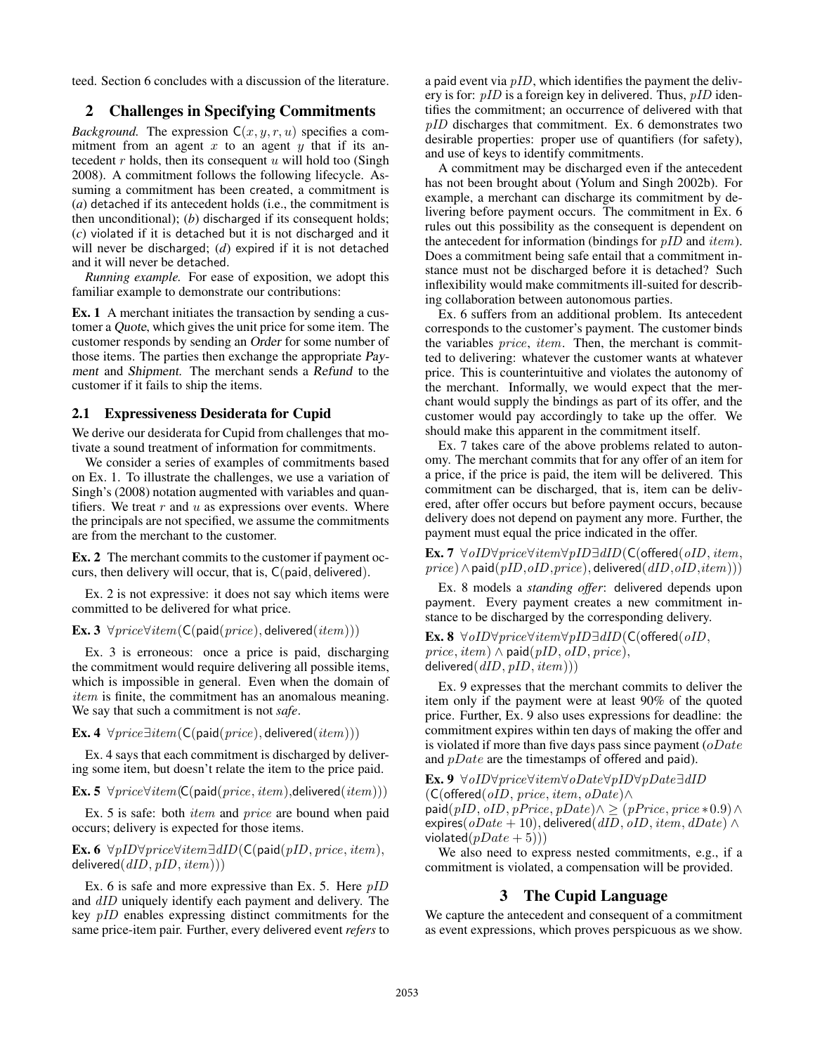teed. Section 6 concludes with a discussion of the literature.

# 2 Challenges in Specifying Commitments

*Background.* The expression  $C(x, y, r, u)$  specifies a commitment from an agent x to an agent y that if its antecedent  $r$  holds, then its consequent  $u$  will hold too (Singh 2008). A commitment follows the following lifecycle. Assuming a commitment has been created, a commitment is (*a*) detached if its antecedent holds (i.e., the commitment is then unconditional); (*b*) discharged if its consequent holds; (*c*) violated if it is detached but it is not discharged and it will never be discharged; (*d*) expired if it is not detached and it will never be detached.

*Running example.* For ease of exposition, we adopt this familiar example to demonstrate our contributions:

Ex. 1 A merchant initiates the transaction by sending a customer a Quote, which gives the unit price for some item. The customer responds by sending an Order for some number of those items. The parties then exchange the appropriate Payment and Shipment. The merchant sends a Refund to the customer if it fails to ship the items.

#### 2.1 Expressiveness Desiderata for Cupid

We derive our desiderata for Cupid from challenges that motivate a sound treatment of information for commitments.

We consider a series of examples of commitments based on Ex. 1. To illustrate the challenges, we use a variation of Singh's (2008) notation augmented with variables and quantifiers. We treat  $r$  and  $u$  as expressions over events. Where the principals are not specified, we assume the commitments are from the merchant to the customer.

Ex. 2 The merchant commits to the customer if payment occurs, then delivery will occur, that is, C(paid, delivered).

Ex. 2 is not expressive: it does not say which items were committed to be delivered for what price.

Ex. 3  $\forall price \forall item(C(paid(price), delivered(item)))$ 

Ex. 3 is erroneous: once a price is paid, discharging the commitment would require delivering all possible items, which is impossible in general. Even when the domain of item is finite, the commitment has an anomalous meaning. We say that such a commitment is not *safe*.

Ex. 4  $\forall price \exists item(C(paid(price), delivered(item)))$ 

Ex. 4 says that each commitment is discharged by delivering some item, but doesn't relate the item to the price paid.

Ex. 5  $\forall price \forall item(C(paid(price, item), delivered(item)))$ 

Ex. 5 is safe: both item and price are bound when paid occurs; delivery is expected for those items.

Ex. 6  $\forall pID\forall price\forall item\exists dID(C(paid(pID, price, item),$ delivered $(dID, pID, item))$ 

Ex. 6 is safe and more expressive than Ex. 5. Here  $pID$ and  $dID$  uniquely identify each payment and delivery. The key pID enables expressing distinct commitments for the same price-item pair. Further, every delivered event *refers* to a paid event via  $pID$ , which identifies the payment the delivery is for:  $pID$  is a foreign key in delivered. Thus,  $pID$  identifies the commitment; an occurrence of delivered with that pID discharges that commitment. Ex. 6 demonstrates two desirable properties: proper use of quantifiers (for safety), and use of keys to identify commitments.

A commitment may be discharged even if the antecedent has not been brought about (Yolum and Singh 2002b). For example, a merchant can discharge its commitment by delivering before payment occurs. The commitment in Ex. 6 rules out this possibility as the consequent is dependent on the antecedent for information (bindings for  $pID$  and  $item$ ). Does a commitment being safe entail that a commitment instance must not be discharged before it is detached? Such inflexibility would make commitments ill-suited for describing collaboration between autonomous parties.

Ex. 6 suffers from an additional problem. Its antecedent corresponds to the customer's payment. The customer binds the variables price, item. Then, the merchant is committed to delivering: whatever the customer wants at whatever price. This is counterintuitive and violates the autonomy of the merchant. Informally, we would expect that the merchant would supply the bindings as part of its offer, and the customer would pay accordingly to take up the offer. We should make this apparent in the commitment itself.

Ex. 7 takes care of the above problems related to autonomy. The merchant commits that for any offer of an item for a price, if the price is paid, the item will be delivered. This commitment can be discharged, that is, item can be delivered, after offer occurs but before payment occurs, because delivery does not depend on payment any more. Further, the payment must equal the price indicated in the offer.

Ex. 7 ∀oID∀price∀item∀pID∃dID(C(offered(oID, item,  $price) \wedge paid(pID, oID, price)$ , delivered $(dID, oID, item))$ )

Ex. 8 models a *standing offer*: delivered depends upon payment. Every payment creates a new commitment instance to be discharged by the corresponding delivery.

Ex. 8 ∀oID∀price∀item∀pID∃dID(C(offered(oID,  $price, item) \wedge paid(pID, oID, price),$ delivered $(dID, pID, item))$ )

Ex. 9 expresses that the merchant commits to deliver the item only if the payment were at least 90% of the quoted price. Further, Ex. 9 also uses expressions for deadline: the commitment expires within ten days of making the offer and is violated if more than five days pass since payment  $(oDate$ and  $pDate$  are the timestamps of offered and paid).

Ex. 9 ∀oID∀price∀item∀oDate∀pID∀pDate∃dID  $(C(offered( oID, price, item, oDate) \wedge$ 

paid(*pID*, *oID*, *pPrice*, *pDate*) $\land$  ≥ (*pPrice*, *price*  $*0.9$ ) $\land$ expires( $oDate + 10$ ), delivered(dID,  $oID$ , item, dDate)  $\wedge$ violated $(pDate + 5))$ 

We also need to express nested commitments, e.g., if a commitment is violated, a compensation will be provided.

### 3 The Cupid Language

We capture the antecedent and consequent of a commitment as event expressions, which proves perspicuous as we show.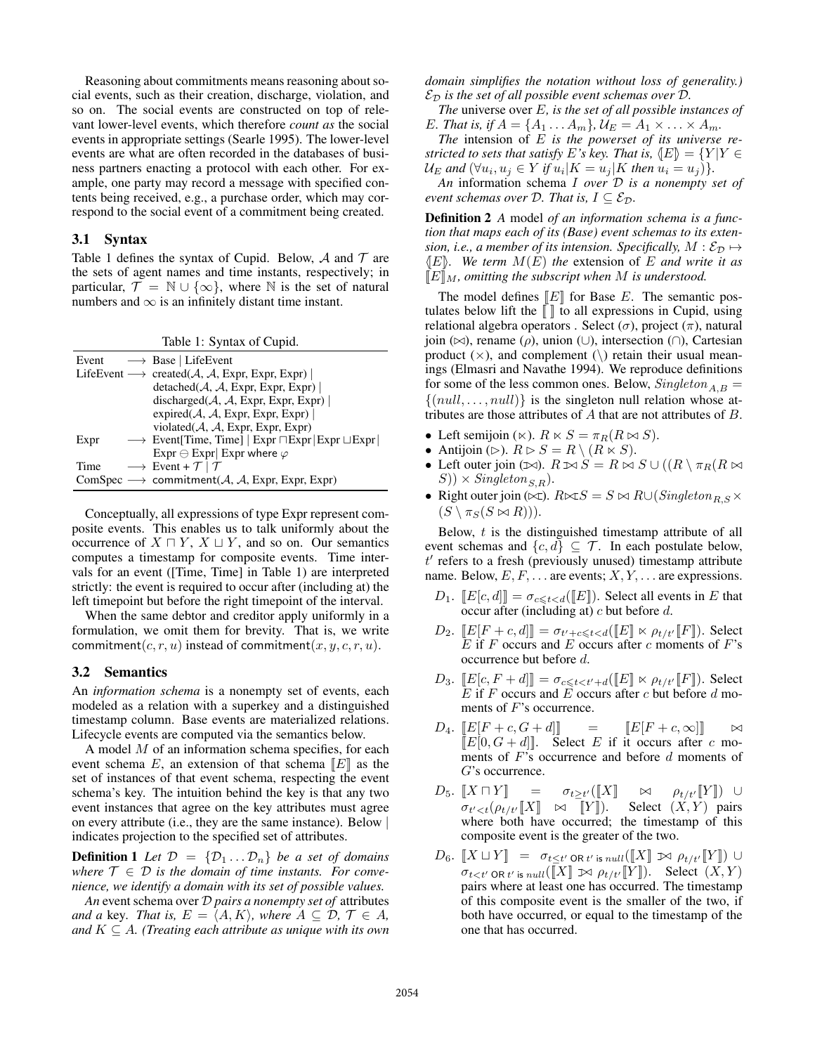Reasoning about commitments means reasoning about social events, such as their creation, discharge, violation, and so on. The social events are constructed on top of relevant lower-level events, which therefore *count as* the social events in appropriate settings (Searle 1995). The lower-level events are what are often recorded in the databases of business partners enacting a protocol with each other. For example, one party may record a message with specified contents being received, e.g., a purchase order, which may correspond to the social event of a commitment being created.

## 3.1 Syntax

Table 1 defines the syntax of Cupid. Below,  $\mathcal A$  and  $\mathcal T$  are the sets of agent names and time instants, respectively; in particular,  $\mathcal{T} = \mathbb{N} \cup \{\infty\}$ , where  $\mathbb N$  is the set of natural numbers and  $\infty$  is an infinitely distant time instant.

|  |  | Table 1: Syntax of Cupid. |
|--|--|---------------------------|
|--|--|---------------------------|

|      | Event $\longrightarrow$ Base   LifeEvent                                         |
|------|----------------------------------------------------------------------------------|
|      | LifeEvent $\longrightarrow$ created(A, A, Expr, Expr, Expr)                      |
|      | $detached(\mathcal{A}, \mathcal{A}, \text{Expr}, \text{Expr}, \text{Expr})$      |
|      | discharged $(A, A, \text{Expr}, \text{Expr}, \text{Expr})$                       |
|      | expired( $A, A$ , Expr, Expr, Expr)                                              |
|      | violated $(A, A, \text{Expr}, \text{Expr}, \text{Expr})$                         |
| Expr | $\rightarrow$ Event Time, Time   Expr $\Box$ Expr $\Box$ Expr $\Box$ Expr $\Box$ |
|      | Expr $\ominus$ Expr Expr where $\varphi$                                         |
| Time | $\longrightarrow$ Event + $\mathcal{T}$   $\mathcal{T}$                          |
|      | ComSpec $\longrightarrow$ commitment(A, A, Expr, Expr, Expr)                     |

Conceptually, all expressions of type Expr represent composite events. This enables us to talk uniformly about the occurrence of  $X \sqcap Y$ ,  $X \sqcup Y$ , and so on. Our semantics computes a timestamp for composite events. Time intervals for an event ([Time, Time] in Table 1) are interpreted strictly: the event is required to occur after (including at) the left timepoint but before the right timepoint of the interval.

When the same debtor and creditor apply uniformly in a formulation, we omit them for brevity. That is, we write commitment(c, r, u) instead of commitment(x, y, c, r, u).

#### 3.2 Semantics

An *information schema* is a nonempty set of events, each modeled as a relation with a superkey and a distinguished timestamp column. Base events are materialized relations. Lifecycle events are computed via the semantics below.

A model M of an information schema specifies, for each event schema E, an extension of that schema  $\llbracket E \rrbracket$  as the set of instances of that event schema, respecting the event schema's key. The intuition behind the key is that any two event instances that agree on the key attributes must agree on every attribute (i.e., they are the same instance). Below | indicates projection to the specified set of attributes.

**Definition 1** Let  $\mathcal{D} = \{D_1 \dots D_n\}$  be a set of domains *where*  $\mathcal{T} \in \mathcal{D}$  *is the domain of time instants. For convenience, we identify a domain with its set of possible values.*

*An* event schema over D *pairs a nonempty set of* attributes *and a* key. *That is,*  $E = \langle A, K \rangle$ *, where*  $A \subseteq \mathcal{D}, \mathcal{T} \in A$ *, and*  $K \subseteq A$ *. (Treating each attribute as unique with its own*  *domain simplifies the notation without loss of generality.)*  $\mathcal{E}_{\mathcal{D}}$  *is the set of all possible event schemas over*  $\mathcal{D}$ *.* 

*The* universe over E*, is the set of all possible instances of E. That is, if*  $A = \{A_1 ... A_m\}$ ,  $U_E = A_1 \times ... \times A_m$ .

*The* intension of E *is the powerset of its universe restricted to sets that satisfy E*'s key. That is,  $\langle E \rangle = \{Y | Y \in$  $\mathcal{U}_E$  and  $(\forall u_i, u_j \in Y$  if  $u_i | K = u_j | K$  then  $u_i = u_j$ ) $}.$ 

*An* information schema I *over* D *is a nonempty set of event schemas over*  $D$ *. That is,*  $I \subseteq \mathcal{E}_D$ *.* 

Definition 2 *A* model *of an information schema is a function that maps each of its (Base) event schemas to its extension, i.e., a member of its intension. Specifically, M* :  $\mathcal{E}_{\mathcal{D}} \mapsto$  $\langle E|$ *i. We term*  $M(E)$  *the* extension of E *and write it as*  $\llbracket E \rrbracket_M$ , omitting the subscript when M is understood.

The model defines  $\llbracket E \rrbracket$  for Base E. The semantic postulates below lift the  $\llbracket \ \rrbracket$  to all expressions in Cupid, using relational algebra operators . Select  $(\sigma)$ , project  $(\pi)$ , natural join ( $\bowtie$ ), rename (ρ), union (∪), intersection (∩), Cartesian product  $(\times)$ , and complement  $(\cdot)$  retain their usual meanings (Elmasri and Navathe 1994). We reproduce definitions for some of the less common ones. Below,  $Singleton_{A,B} =$  $\{(null, \ldots, null)\}\)$  is the singleton null relation whose attributes are those attributes of A that are not attributes of B.

- Left semijoin  $(\kappa)$ .  $R \kappa S = \pi_R(R \bowtie S)$ .
- Antijoin ( $\triangleright$ ).  $R \triangleright S = R \setminus (R \ltimes S)$ .
- Left outer join ( $\bowtie$ ).  $R \bowtie S = R \bowtie S \cup ((R \setminus \pi_R(R \bowtie$  $(S)$ ) × Singleton<sub>S, R</sub>).
- Right outer join ( $\infty$ ).  $R \ltimes S = S \ltimes R \cup (Singleton_{R,S} \times S)$  $(S \setminus \pi_S(S \bowtie R))$ .

Below, t is the distinguished timestamp attribute of all event schemas and  $\{c, d\} \subseteq \mathcal{T}$ . In each postulate below,  $t'$  refers to a fresh (previously unused) timestamp attribute name. Below,  $E, F, \ldots$  are events;  $X, Y, \ldots$  are expressions.

- $D_1$ .  $[[E[c, d]]] = \sigma_{c \leq t < d}([[E]])$ . Select all events in E that occur after (including at)  $c$  but before  $d$ .
- $D_2$ .  $[[E[F + c, d]]] = \sigma_{t' + c \leq t < d}([[E]] \ltimes \rho_{t/t'}[[F]])$ . Select  $E$  if  $F$  occurs and  $E$  occurs after  $c$  moments of  $F$ 's occurrence but before d.
- $D_3. \quad [E[c, F + d]]] = \sigma_{c \leq t \leq t'+d}([E] \times \rho_{t/t'}[F])$ . Select  $E$  if F occurs and  $E$  occurs after c but before d moments of F's occurrence.
- $D_4. \, [E[F + c, G + d]] \, = \, [E[F + c, \infty]] \, \sim$  $[[E[0, G + d]]]$ . Select E if it occurs after c moments of  $F$ 's occurrence and before  $d$  moments of G's occurrence.
- $D_5. \llbracket X \sqcap Y \rrbracket = \sigma_{t \geq t'}(\llbracket X \rrbracket)$  $\bowtie$   $\rho_{t/t'} \|Y\|$ )  $\cup$  $\sigma_{t' < t}(\rho_{t/t'} \llbracket X \rrbracket \quad \bowtie \quad \llbracket Y \rrbracket)$ . Select  $(X, Y)$  pairs where both have occurred; the timestamp of this composite event is the greater of the two.
- $D_6.\,\,\llbracket X \sqcup Y \rrbracket \,\,\, = \,\,\, \sigma_{t\leq t'} \, \text{or} \, \text{\textit{t}' is } \text{\textit{null}}(\llbracket X \rrbracket \, \bowtie \, \rho_{t/t'} \llbracket Y \rrbracket) \, \cup$  $\sigma_{t < t'}$  OR t' is  $_{null}([\![X]\!] \Join \rho_{t/t'}[\![Y]\!]).$  Select  $(X, Y)$ pairs where at least one has occurred. The timestamp of this composite event is the smaller of the two, if both have occurred, or equal to the timestamp of the one that has occurred.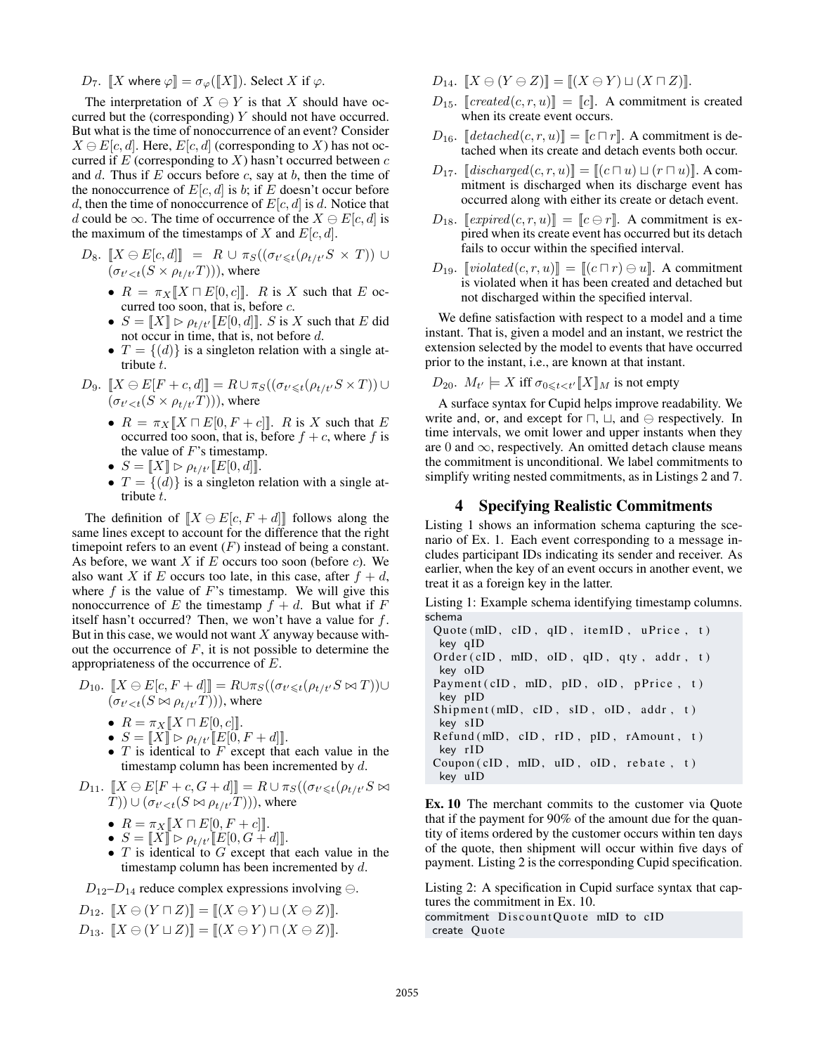$D_7$ .  $\llbracket X$  where  $\varphi \rrbracket = \sigma_{\varphi}(\llbracket X \rrbracket)$ . Select X if  $\varphi$ .

The interpretation of  $X \ominus Y$  is that X should have occurred but the (corresponding)  $Y$  should not have occurred. But what is the time of nonoccurrence of an event? Consider  $X \ominus E[c, d]$ . Here,  $E[c, d]$  (corresponding to X) has not occurred if  $E$  (corresponding to  $X$ ) hasn't occurred between  $c$ and d. Thus if  $E$  occurs before  $c$ , say at  $b$ , then the time of the nonoccurrence of  $E[c, d]$  is b; if E doesn't occur before d, then the time of nonoccurrence of  $E[c, d]$  is d. Notice that d could be  $\infty$ . The time of occurrence of the  $X \ominus E[c, d]$  is the maximum of the timestamps of X and  $E[c, d]$ .

$$
D_8. \ [X \ominus E[c, d]] = R \cup \pi_S((\sigma_{t' \leq t}(\rho_{t/t'}S \times T)) \cup (\sigma_{t' < t}(S \times \rho_{t/t'}T))), \text{ where}
$$

- $R = \pi_X [X \sqcap E[0, c]]$ . R is X such that E occurred too soon, that is, before c.
- $S = [[X]] \triangleright \rho_{t/t'}[[E[0, d]]]$ . S is X such that E did not occur in time, that is, not before d.
- $T = \{(d)\}\$ is a singleton relation with a single attribute t.

$$
D_9. \ [X \ominus E[F + c, d]] = R \cup \pi_S((\sigma_{t' \leq t}(\rho_{t/t'}S \times T))) \cup (\sigma_{t' < t}(S \times \rho_{t/t'}T))), \text{ where}
$$

- $R = \pi_X [X \cap E[0, F + c]]$ . R is X such that E occurred too soon, that is, before  $f + c$ , where f is the value of  $F$ 's timestamp.
- $S = [[X]] \triangleright \rho_{t/t'}[[E[0, d]]].$
- $T = \{(d)\}\$ is a singleton relation with a single attribute t.

The definition of  $[X \ominus E[c, F + d]]$  follows along the same lines except to account for the difference that the right timepoint refers to an event  $(F)$  instead of being a constant. As before, we want  $X$  if  $E$  occurs too soon (before  $c$ ). We also want X if E occurs too late, in this case, after  $f + d$ , where  $f$  is the value of  $F$ 's timestamp. We will give this nonoccurrence of E the timestamp  $f + d$ . But what if F itself hasn't occurred? Then, we won't have a value for f. But in this case, we would not want  $X$  anyway because without the occurrence of  $F$ , it is not possible to determine the appropriateness of the occurrence of E.

$$
D_{10}. \ [X \ominus E[c, F + d]] = R \cup \pi_S((\sigma_{t' \leq t}(\rho_{t/t'} S \bowtie T)) \cup (\sigma_{t' < t}(S \bowtie \rho_{t/t'} T))), \text{ where}
$$

- $R = \pi_X [X \sqcap E[0, c]]$ .
- $S = [[X]] \triangleright \rho_{t/t'}[[E[0, F + d]]].$
- $T$  is identical to  $F$  except that each value in the timestamp column has been incremented by  $d$ .
- $D_{11}.$   $\llbracket X \ominus E[F+c, G+d] \rrbracket = R \cup \pi_{S}((\sigma_{t' \leq t}(\rho_{t/t'}S \bowtie$  $(T)) \cup (\sigma_{t' < t}(S \bowtie \rho_{t/t'}T))),$  where
	- $R = \pi_X [X \sqcap E[0, F + c]]$ .
	- $S = [[X]] \triangleright \rho_{t/t'}[[E[0, G + d]]].$
	- $T$  is identical to  $G$  except that each value in the timestamp column has been incremented by  $d$ .

 $D_{12}-D_{14}$  reduce complex expressions involving  $\ominus$ .

 $D_{12}.$   $[X \ominus (Y \sqcap Z)] = [(X \ominus Y) \sqcup (X \ominus Z)]$ .  $D_{13}.$   $[X \ominus (Y \sqcup Z)] = [(X \ominus Y) \sqcap (X \ominus Z)]$ .

- $D_{14}.$   $[X \ominus (Y \ominus Z)] = [(X \ominus Y) \sqcup (X \sqcap Z)].$
- $D_{15}$ . [*created*(*c, r, u*)] = [*c*]. A commitment is created when its create event occurs.
- $D_{16}$ .  $\left[ \text{detached}(c, r, u) \right] = \left[ c \cap r \right]$ . A commitment is detached when its create and detach events both occur.
- $D_{17.}$  [discharged $(c, r, u)$ ]] =  $[(c \sqcap u) \sqcup (r \sqcap u)]$ . A commitment is discharged when its discharge event has occurred along with either its create or detach event.
- $D_{18}$ . [*expired*(*c, r, u*)] = [*c*  $\ominus$  *r*]. A commitment is expired when its create event has occurred but its detach fails to occur within the specified interval.
- $D_{19}$ .  $\llbracket \text{violated}(c, r, u) \rrbracket = \llbracket (c \sqcap r) \ominus u \rrbracket$ . A commitment is violated when it has been created and detached but not discharged within the specified interval.

We define satisfaction with respect to a model and a time instant. That is, given a model and an instant, we restrict the extension selected by the model to events that have occurred prior to the instant, i.e., are known at that instant.

$$
D_{20}
$$
.  $M_{t'} \models X$  iff  $\sigma_{0 \leq t < t'} [X]_M$  is not empty

A surface syntax for Cupid helps improve readability. We write and, or, and except for  $\sqcap$ ,  $\sqcup$ , and  $\ominus$  respectively. In time intervals, we omit lower and upper instants when they are 0 and  $\infty$ , respectively. An omitted detach clause means the commitment is unconditional. We label commitments to simplify writing nested commitments, as in Listings 2 and 7.

## 4 Specifying Realistic Commitments

Listing 1 shows an information schema capturing the scenario of Ex. 1. Each event corresponding to a message includes participant IDs indicating its sender and receiver. As earlier, when the key of an event occurs in another event, we treat it as a foreign key in the latter.

Listing 1: Example schema identifying timestamp columns. schema  $\ddot{m}$  , item  $\ddot{m}$  , item is  $\ddot{m}$ 

key qID O r d e r ( cID , mID , oID , qID , qt y , a d d r , t ) key oID Payment ( cID , mID , pID , oID , p P ri c e , t ) key pID S hi pme nt (mID , cID , sID , oID , a d d r , t ) key s ID Re fund (mID , cID , rID , pID , rAmount , t ) key r ID Coupon ( cID , mID , uID , oID , r e b a t e , t ) key uID

Ex. 10 The merchant commits to the customer via Quote that if the payment for 90% of the amount due for the quantity of items ordered by the customer occurs within ten days of the quote, then shipment will occur within five days of payment. Listing 2 is the corresponding Cupid specification.

Listing 2: A specification in Cupid surface syntax that captures the commitment in Ex. 10.

commitment DiscountQuote mID to cID create Quote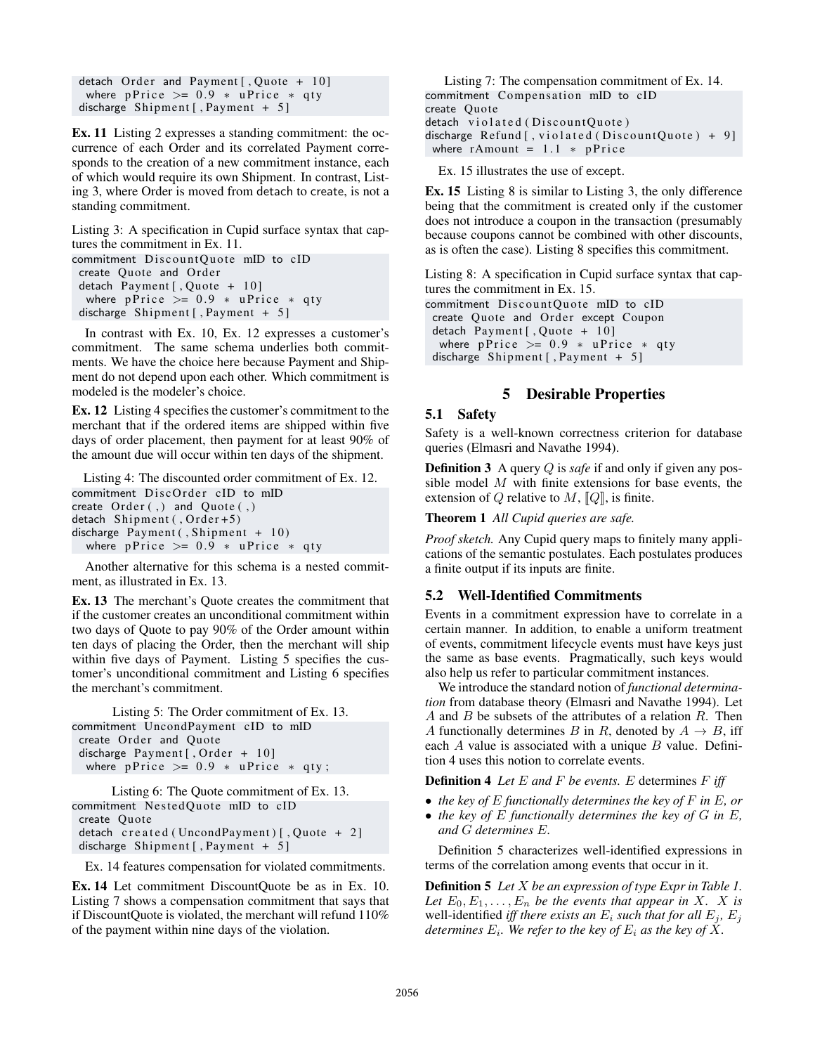detach Order and Payment [, Quote +  $10$ ] where pPrice  $> = 0.9 * uPrice * qty$ discharge Shipment [, Payment  $+ 5$ ]

Ex. 11 Listing 2 expresses a standing commitment: the occurrence of each Order and its correlated Payment corresponds to the creation of a new commitment instance, each of which would require its own Shipment. In contrast, Listing 3, where Order is moved from detach to create, is not a standing commitment.

Listing 3: A specification in Cupid surface syntax that captures the commitment in Ex. 11.

```
commitment DiscountOuote mID to cID
 create Quote and Order
 detach Payment [, Quote + 10]
  where pPrice > = 0.9 * uPrice * qtydischarge Shipment [, Payment + 5]
```
In contrast with Ex. 10, Ex. 12 expresses a customer's commitment. The same schema underlies both commitments. We have the choice here because Payment and Shipment do not depend upon each other. Which commitment is modeled is the modeler's choice.

Ex. 12 Listing 4 specifies the customer's commitment to the merchant that if the ordered items are shipped within five days of order placement, then payment for at least 90% of the amount due will occur within ten days of the shipment.

Listing 4: The discounted order commitment of Ex. 12. commitment DiscOrder cID to mID create  $Order( , )$  and  $Queue( , )$ detach Shipment (, Order + 5) discharge Payment (, Shipment + 10) where pPrice  $> = 0.9 * uPrice * qty$ 

Another alternative for this schema is a nested commitment, as illustrated in Ex. 13.

Ex. 13 The merchant's Quote creates the commitment that if the customer creates an unconditional commitment within two days of Quote to pay 90% of the Order amount within ten days of placing the Order, then the merchant will ship within five days of Payment. Listing 5 specifies the customer's unconditional commitment and Listing 6 specifies the merchant's commitment.

```
Listing 5: The Order commitment of Ex. 13.
commitment UncondPayment cID to mID
create Order and Quote
 discharge Payment [, Order + 10]
 where pPrice >= 0.9 * uPrice * qty;
```

```
Listing 6: The Quote commitment of Ex. 13.
commitment NestedQuote mID to cID
create Quote
 detach created (UncondPayment) [, Quote + 2]
discharge Shipment [, Payment + 5]
```
Ex. 14 features compensation for violated commitments.

Ex. 14 Let commitment DiscountQuote be as in Ex. 10. Listing 7 shows a compensation commitment that says that if DiscountQuote is violated, the merchant will refund 110% of the payment within nine days of the violation.

Listing 7: The compensation commitment of Ex. 14. commitment Compensation mID to cID create Quote detach violated (Discount Quote) discharge Refund [, violated (Discount Quote) + 9] where  $rAmount = 1.1 * pPrice$ 

Ex. 15 illustrates the use of except.

Ex. 15 Listing 8 is similar to Listing 3, the only difference being that the commitment is created only if the customer does not introduce a coupon in the transaction (presumably because coupons cannot be combined with other discounts, as is often the case). Listing 8 specifies this commitment.

Listing 8: A specification in Cupid surface syntax that captures the commitment in Ex. 15.

commitment DiscountQuote mID to cID create Quote and Order except Coupon detach Payment [, Quote + 10] where  $p$ Price >= 0.9 \* uPrice \* qty discharge Shipment [, Payment + 5]

# 5 Desirable Properties

### 5.1 Safety

Safety is a well-known correctness criterion for database queries (Elmasri and Navathe 1994).

Definition 3 A query Q is *safe* if and only if given any possible model M with finite extensions for base events, the extension of Q relative to  $M$ ,  $[Q]$ , is finite.

Theorem 1 *All Cupid queries are safe.*

*Proof sketch.* Any Cupid query maps to finitely many applications of the semantic postulates. Each postulates produces a finite output if its inputs are finite.

### 5.2 Well-Identified Commitments

Events in a commitment expression have to correlate in a certain manner. In addition, to enable a uniform treatment of events, commitment lifecycle events must have keys just the same as base events. Pragmatically, such keys would also help us refer to particular commitment instances.

We introduce the standard notion of *functional determination* from database theory (Elmasri and Navathe 1994). Let A and B be subsets of the attributes of a relation  $R$ . Then A functionally determines B in R, denoted by  $A \rightarrow B$ , iff each  $A$  value is associated with a unique  $B$  value. Definition 4 uses this notion to correlate events.

Definition 4 *Let* E *and* F *be events.* E determines F *iff*

- *the key of* E *functionally determines the key of* F *in* E*, or*
- *the key of* E *functionally determines the key of* G *in* E*, and* G *determines* E*.*

Definition 5 characterizes well-identified expressions in terms of the correlation among events that occur in it.

Definition 5 *Let* X *be an expression of type Expr in Table 1.* Let  $E_0, E_1, \ldots, E_n$  be the events that appear in X. X is well-identified *iff there exists an*  $E_i$  *such that for all*  $E_j$ ,  $E_j$ determines  $E_i$ . We refer to the key of  $E_i$  as the key of  $X$ .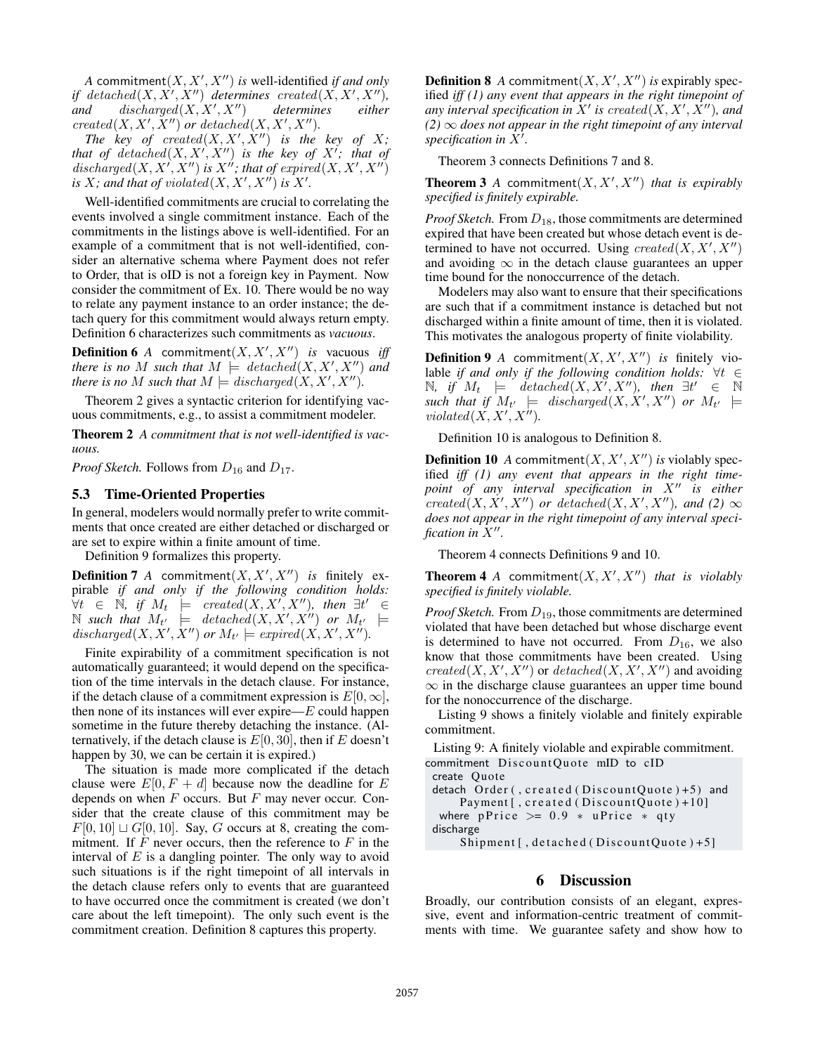A commitment $(X, X', X'')$  *is* well-identified *if and only if*  $detached(X, X', X'')$  *determines* created( $X, X', X''$ ),  $and$  discharged $(X, X', X'')$  $determines$  *either*  $created(X, X', X'')$  *or detached* $(X, X', X'')$ *.* 

*The key of created* $(X, X', \dot{X}'')$  *is the key of* X; that of  $detached(X, X', X'')$  is the key of  $X'$ ; that of discharged $(X, X', X'')$  is  $X''$ ; that of expired $(X, X', X'')$ *is*  $X$ *; and that of violated* $(X, X', X'')$  *is*  $X'$ *.* 

Well-identified commitments are crucial to correlating the events involved a single commitment instance. Each of the commitments in the listings above is well-identified. For an example of a commitment that is not well-identified, consider an alternative schema where Payment does not refer to Order, that is oID is not a foreign key in Payment. Now consider the commitment of Ex. 10. There would be no way to relate any payment instance to an order instance; the detach query for this commitment would always return empty. Definition 6 characterizes such commitments as *vacuous*.

**Definition 6** A commitment $(X, X', X'')$  *is* vacuous *iff there is no M such that*  $M \models \text{detached}(X, X', X'')$  *and there is no* M *such that*  $M \models discharged(X, X', X'').$ 

Theorem 2 gives a syntactic criterion for identifying vacuous commitments, e.g., to assist a commitment modeler.

Theorem 2 *A commitment that is not well-identified is vacuous.*

*Proof Sketch.* Follows from  $D_{16}$  and  $D_{17}$ .

#### 5.3 Time-Oriented Properties

In general, modelers would normally prefer to write commitments that once created are either detached or discharged or are set to expire within a finite amount of time.

Definition 9 formalizes this property.

**Definition 7** A commitment $(X, X', X'')$  is finitely expirable *if and only if the following condition holds:* ∀t ∈ N*, if* M<sup>t</sup> |= created(X, X<sup>0</sup> , X<sup>00</sup>)*, then* ∃t <sup>0</sup> ∈  $\mathbb N$  such that  $M_{t'}$   $\models$  detached $(X, X', X'')$  or  $M_{t'}$   $\models$ discharged(X, X', X'') or  $M_{t'} \models \text{expected}(X, X', X'').$ 

Finite expirability of a commitment specification is not automatically guaranteed; it would depend on the specification of the time intervals in the detach clause. For instance, if the detach clause of a commitment expression is  $E[0, \infty]$ , then none of its instances will ever expire— $E$  could happen sometime in the future thereby detaching the instance. (Alternatively, if the detach clause is  $E[0, 30]$ , then if E doesn't happen by 30, we can be certain it is expired.)

The situation is made more complicated if the detach clause were  $E[0, F + d]$  because now the deadline for E depends on when  $F$  occurs. But  $F$  may never occur. Consider that the create clause of this commitment may be  $F[0, 10] \sqcup G[0, 10]$ . Say, G occurs at 8, creating the commitment. If  $F$  never occurs, then the reference to  $F$  in the interval of  $E$  is a dangling pointer. The only way to avoid such situations is if the right timepoint of all intervals in the detach clause refers only to events that are guaranteed to have occurred once the commitment is created (we don't care about the left timepoint). The only such event is the commitment creation. Definition 8 captures this property.

**Definition 8** A commitment $(X, X', X'')$  is expirably specified *iff (1) any event that appears in the right timepoint of* any interval specification in  $X'$  is created( $X, X', \overline{X''}$ ), and  $(2) \infty$  *does not appear in the right timepoint of any interval* specification in  $\overline{X'}$ .

Theorem 3 connects Definitions 7 and 8.

**Theorem 3** A commitment $(X, X', X'')$  *that is expirably specified is finitely expirable.*

*Proof Sketch.* From  $D_{18}$ , those commitments are determined expired that have been created but whose detach event is determined to have not occurred. Using  $created(X, X', X'')$ and avoiding  $\infty$  in the detach clause guarantees an upper time bound for the nonoccurrence of the detach.

Modelers may also want to ensure that their specifications are such that if a commitment instance is detached but not discharged within a finite amount of time, then it is violated. This motivates the analogous property of finite violability.

**Definition 9** A commitment $(X, X', X'')$  is finitely violable *if and only if the following condition holds:* ∀t ∈ N, if  $M_t$   $\models$   $\det$   $\det M(X, X', X'')$ , then  $\exists t'$  ∈ N  $\mathit{such that if}\;\; M_{t'}\;\;\models\;\; \mathit{discharged}(X,X',X'')\;\; or\;\; M_{t'}\;\;\models\;\;$  $violated(X, X', X'').$ 

Definition 10 is analogous to Definition 8.

**Definition 10** A commitment $(X, X', X'')$  is violably specified *iff (1) any event that appears in the right timepoint of any interval specification in*  $X''$  *is either*  $created(X, X', X'')$  *or*  $detached(X, X', X'')$ *, and (2)*  $\infty$ *does not appear in the right timepoint of any interval specification in*  $\tilde{X}''$ .

Theorem 4 connects Definitions 9 and 10.

**Theorem 4** A commitment $(X, X', X'')$  *that is violably specified is finitely violable.*

*Proof Sketch.* From  $D_{19}$ , those commitments are determined violated that have been detached but whose discharge event is determined to have not occurred. From  $D_{16}$ , we also know that those commitments have been created. Using  $created(X, X', X'')$  or  $detached(X, X', X'')$  and avoiding  $\infty$  in the discharge clause guarantees an upper time bound for the nonoccurrence of the discharge.

Listing 9 shows a finitely violable and finitely expirable commitment.

Listing 9: A finitely violable and expirable commitment. commitment DiscountQuote mID to cID

create Quote

detach Order (,  $c$ reated (Discount Quote) +5) and Payment [, created (Discount Quote) + 10] where pPrice  $> = 0.9 * uPrice * qty$ discharge

Shipment [, detached (Discount Quote) + 5]

# 6 Discussion

Broadly, our contribution consists of an elegant, expressive, event and information-centric treatment of commitments with time. We guarantee safety and show how to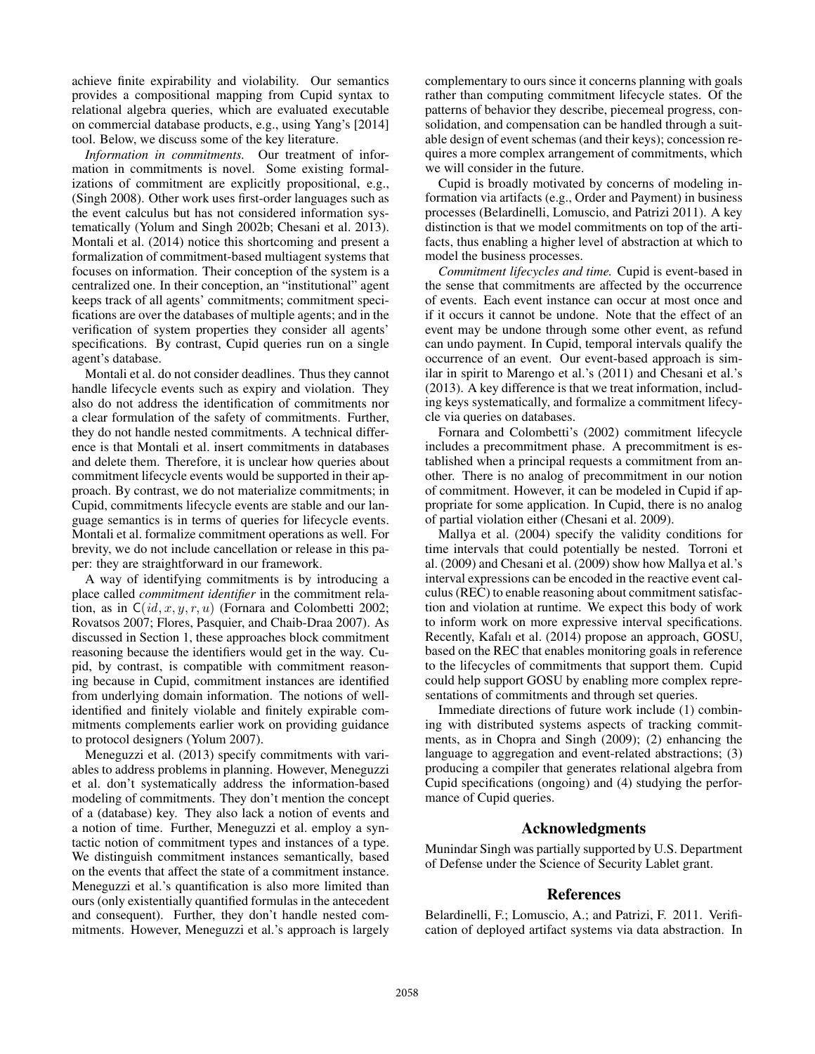achieve finite expirability and violability. Our semantics provides a compositional mapping from Cupid syntax to relational algebra queries, which are evaluated executable on commercial database products, e.g., using Yang's [2014] tool. Below, we discuss some of the key literature.

*Information in commitments.* Our treatment of information in commitments is novel. Some existing formalizations of commitment are explicitly propositional, e.g., (Singh 2008). Other work uses first-order languages such as the event calculus but has not considered information systematically (Yolum and Singh 2002b; Chesani et al. 2013). Montali et al. (2014) notice this shortcoming and present a formalization of commitment-based multiagent systems that focuses on information. Their conception of the system is a centralized one. In their conception, an "institutional" agent keeps track of all agents' commitments; commitment specifications are over the databases of multiple agents; and in the verification of system properties they consider all agents' specifications. By contrast, Cupid queries run on a single agent's database.

Montali et al. do not consider deadlines. Thus they cannot handle lifecycle events such as expiry and violation. They also do not address the identification of commitments nor a clear formulation of the safety of commitments. Further, they do not handle nested commitments. A technical difference is that Montali et al. insert commitments in databases and delete them. Therefore, it is unclear how queries about commitment lifecycle events would be supported in their approach. By contrast, we do not materialize commitments; in Cupid, commitments lifecycle events are stable and our language semantics is in terms of queries for lifecycle events. Montali et al. formalize commitment operations as well. For brevity, we do not include cancellation or release in this paper: they are straightforward in our framework.

A way of identifying commitments is by introducing a place called *commitment identifier* in the commitment relation, as in  $C(id, x, y, r, u)$  (Fornara and Colombetti 2002; Rovatsos 2007; Flores, Pasquier, and Chaib-Draa 2007). As discussed in Section 1, these approaches block commitment reasoning because the identifiers would get in the way. Cupid, by contrast, is compatible with commitment reasoning because in Cupid, commitment instances are identified from underlying domain information. The notions of wellidentified and finitely violable and finitely expirable commitments complements earlier work on providing guidance to protocol designers (Yolum 2007).

Meneguzzi et al. (2013) specify commitments with variables to address problems in planning. However, Meneguzzi et al. don't systematically address the information-based modeling of commitments. They don't mention the concept of a (database) key. They also lack a notion of events and a notion of time. Further, Meneguzzi et al. employ a syntactic notion of commitment types and instances of a type. We distinguish commitment instances semantically, based on the events that affect the state of a commitment instance. Meneguzzi et al.'s quantification is also more limited than ours (only existentially quantified formulas in the antecedent and consequent). Further, they don't handle nested commitments. However, Meneguzzi et al.'s approach is largely complementary to ours since it concerns planning with goals rather than computing commitment lifecycle states. Of the patterns of behavior they describe, piecemeal progress, consolidation, and compensation can be handled through a suitable design of event schemas (and their keys); concession requires a more complex arrangement of commitments, which we will consider in the future.

Cupid is broadly motivated by concerns of modeling information via artifacts (e.g., Order and Payment) in business processes (Belardinelli, Lomuscio, and Patrizi 2011). A key distinction is that we model commitments on top of the artifacts, thus enabling a higher level of abstraction at which to model the business processes.

*Commitment lifecycles and time.* Cupid is event-based in the sense that commitments are affected by the occurrence of events. Each event instance can occur at most once and if it occurs it cannot be undone. Note that the effect of an event may be undone through some other event, as refund can undo payment. In Cupid, temporal intervals qualify the occurrence of an event. Our event-based approach is similar in spirit to Marengo et al.'s (2011) and Chesani et al.'s (2013). A key difference is that we treat information, including keys systematically, and formalize a commitment lifecycle via queries on databases.

Fornara and Colombetti's (2002) commitment lifecycle includes a precommitment phase. A precommitment is established when a principal requests a commitment from another. There is no analog of precommitment in our notion of commitment. However, it can be modeled in Cupid if appropriate for some application. In Cupid, there is no analog of partial violation either (Chesani et al. 2009).

Mallya et al. (2004) specify the validity conditions for time intervals that could potentially be nested. Torroni et al. (2009) and Chesani et al. (2009) show how Mallya et al.'s interval expressions can be encoded in the reactive event calculus (REC) to enable reasoning about commitment satisfaction and violation at runtime. We expect this body of work to inform work on more expressive interval specifications. Recently, Kafalı et al. (2014) propose an approach, GOSU, based on the REC that enables monitoring goals in reference to the lifecycles of commitments that support them. Cupid could help support GOSU by enabling more complex representations of commitments and through set queries.

Immediate directions of future work include (1) combining with distributed systems aspects of tracking commitments, as in Chopra and Singh (2009); (2) enhancing the language to aggregation and event-related abstractions; (3) producing a compiler that generates relational algebra from Cupid specifications (ongoing) and (4) studying the performance of Cupid queries.

### Acknowledgments

Munindar Singh was partially supported by U.S. Department of Defense under the Science of Security Lablet grant.

### References

Belardinelli, F.; Lomuscio, A.; and Patrizi, F. 2011. Verification of deployed artifact systems via data abstraction. In